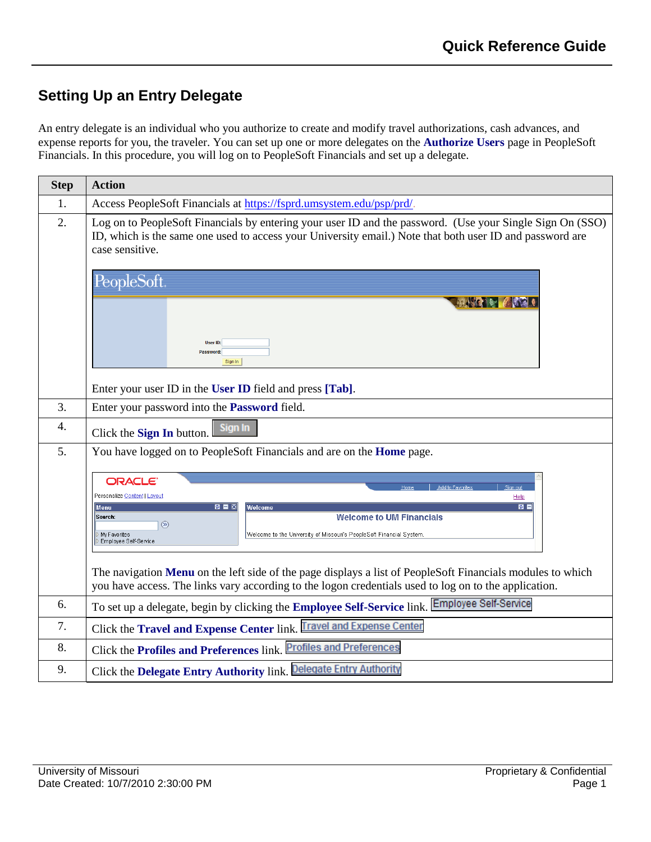## **Setting Up an Entry Delegate**

An entry delegate is an individual who you authorize to create and modify travel authorizations, cash advances, and expense reports for you, the traveler. You can set up one or more delegates on the **Authorize Users** page in PeopleSoft Financials. In this procedure, you will log on to PeopleSoft Financials and set up a delegate.

| <b>Step</b>      | <b>Action</b>                                                                                                                                                                                                                                                                                    |
|------------------|--------------------------------------------------------------------------------------------------------------------------------------------------------------------------------------------------------------------------------------------------------------------------------------------------|
| 1.               | Access PeopleSoft Financials at https://fsprd.umsystem.edu/psp/prd/.                                                                                                                                                                                                                             |
| 2.               | Log on to PeopleSoft Financials by entering your user ID and the password. (Use your Single Sign On (SSO)<br>ID, which is the same one used to access your University email.) Note that both user ID and password are<br>case sensitive.                                                         |
|                  | PeopleSoft.                                                                                                                                                                                                                                                                                      |
|                  |                                                                                                                                                                                                                                                                                                  |
|                  | User ID:<br>Password:<br>Sign In                                                                                                                                                                                                                                                                 |
|                  | Enter your user ID in the User ID field and press [Tab].                                                                                                                                                                                                                                         |
| 3.               | Enter your password into the Password field.                                                                                                                                                                                                                                                     |
| $\overline{4}$ . | Sign In<br>Click the Sign In button.                                                                                                                                                                                                                                                             |
| 5.               | You have logged on to PeopleSoft Financials and are on the Home page.                                                                                                                                                                                                                            |
|                  | <b>ORACLE</b><br>Add to Favorites<br>Home<br>Personalize Content   Layout<br>Help<br>图目图<br>ø El<br>Welcome<br>Menu<br><b>Welcome to UM Financials</b><br>Search:<br>$\circledR$<br>Welcome to the University of Missouri's PeopleSoft Financial System<br>My Favorites<br>Employee Self-Service |
|                  | The navigation Menu on the left side of the page displays a list of PeopleSoft Financials modules to which<br>you have access. The links vary according to the logon credentials used to log on to the application.                                                                              |
| 6.               | To set up a delegate, begin by clicking the Employee Self-Service link. Employee Self-Service                                                                                                                                                                                                    |
| 7.               | Click the Travel and Expense Center link. Travel and Expense Center                                                                                                                                                                                                                              |
| 8.               | Click the Profiles and Preferences link. Profiles and Preferences                                                                                                                                                                                                                                |
| 9.               | Click the Delegate Entry Authority link. Delegate Entry Authority                                                                                                                                                                                                                                |